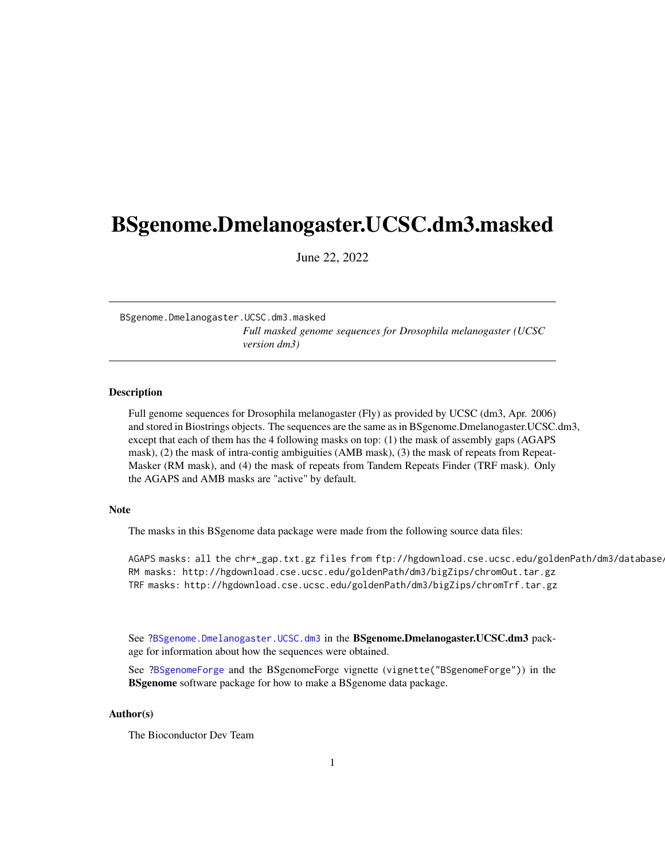## <span id="page-0-1"></span><span id="page-0-0"></span>BSgenome.Dmelanogaster.UCSC.dm3.masked

June 22, 2022

BSgenome.Dmelanogaster.UCSC.dm3.masked *Full masked genome sequences for Drosophila melanogaster (UCSC version dm3)*

#### Description

Full genome sequences for Drosophila melanogaster (Fly) as provided by UCSC (dm3, Apr. 2006) and stored in Biostrings objects. The sequences are the same as in BSgenome.Dmelanogaster.UCSC.dm3, except that each of them has the 4 following masks on top: (1) the mask of assembly gaps (AGAPS mask), (2) the mask of intra-contig ambiguities (AMB mask), (3) the mask of repeats from Repeat-Masker (RM mask), and (4) the mask of repeats from Tandem Repeats Finder (TRF mask). Only the AGAPS and AMB masks are "active" by default.

### Note

The masks in this BSgenome data package were made from the following source data files:

AGAPS masks: all the chr\*\_gap.txt.gz files from ftp://hgdownload.cse.ucsc.edu/goldenPath/dm3/database/ RM masks: http://hgdownload.cse.ucsc.edu/goldenPath/dm3/bigZips/chromOut.tar.gz TRF masks: http://hgdownload.cse.ucsc.edu/goldenPath/dm3/bigZips/chromTrf.tar.gz

See ?BSgenome.Dmelanogaster.UCSC.dm3 in the BSgenome.Dmelanogaster.UCSC.dm3 package for information about how the sequences were obtained.

See ?BSgenomeForge and the BSgenomeForge vignette (vignette("BSgenomeForge")) in the **BSgenome** software package for how to make a BSgenome data package.

### Author(s)

The Bioconductor Dev Team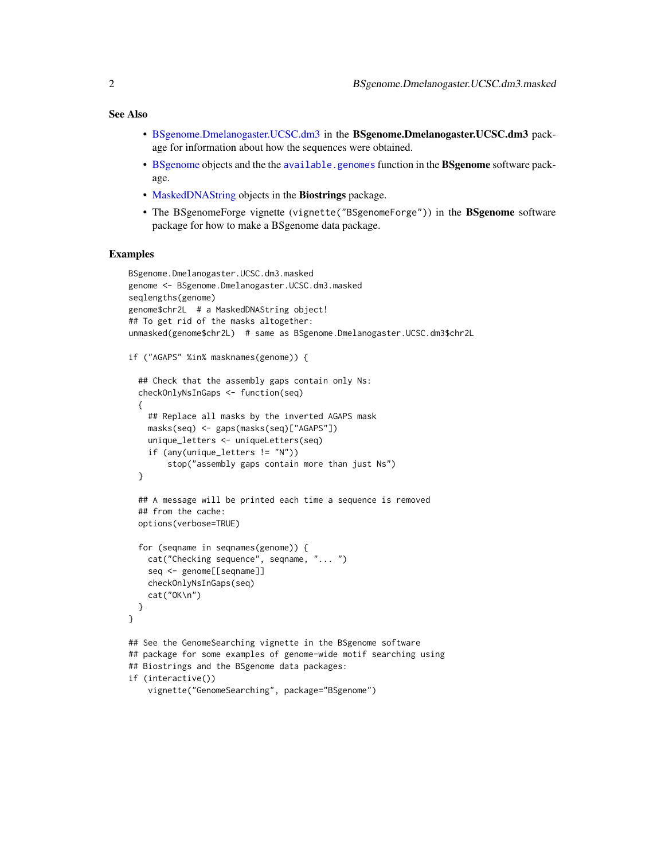### <span id="page-1-0"></span>See Also

- [BSgenome.Dmelanogaster.UCSC.dm3](#page-0-0) in the BSgenome.Dmelanogaster.UCSC.dm3 package for information about how the sequences were obtained.
- [BSgenome](#page-0-0) objects and the the [available.genomes](#page-0-0) function in the BSgenome software package.
- [MaskedDNAString](#page-0-0) objects in the Biostrings package.
- The BSgenomeForge vignette (vignette("BSgenomeForge")) in the BSgenome software package for how to make a BSgenome data package.

#### Examples

```
BSgenome.Dmelanogaster.UCSC.dm3.masked
genome <- BSgenome.Dmelanogaster.UCSC.dm3.masked
seqlengths(genome)
genome$chr2L # a MaskedDNAString object!
## To get rid of the masks altogether:
unmasked(genome$chr2L) # same as BSgenome.Dmelanogaster.UCSC.dm3$chr2L
if ("AGAPS" %in% masknames(genome)) {
 ## Check that the assembly gaps contain only Ns:
 checkOnlyNsInGaps <- function(seq)
 {
   ## Replace all masks by the inverted AGAPS mask
   masks(seq) <- gaps(masks(seq)["AGAPS"])
   unique_letters <- uniqueLetters(seq)
    if (any(unique_letters != "N"))
        stop("assembly gaps contain more than just Ns")
 }
 ## A message will be printed each time a sequence is removed
 ## from the cache:
 options(verbose=TRUE)
 for (seqname in seqnames(genome)) {
    cat("Checking sequence", seqname, "... ")
    seq <- genome[[seqname]]
   checkOnlyNsInGaps(seq)
    cat("OK\n")
 }
}
## See the GenomeSearching vignette in the BSgenome software
## package for some examples of genome-wide motif searching using
## Biostrings and the BSgenome data packages:
if (interactive())
    vignette("GenomeSearching", package="BSgenome")
```